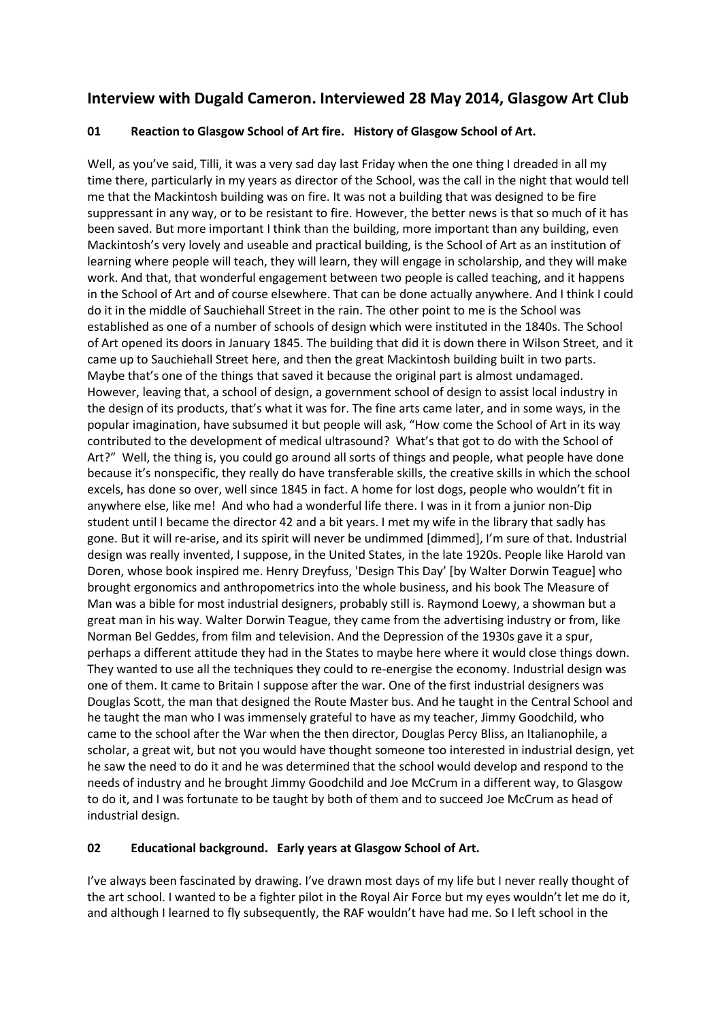# **Interview with Dugald Cameron. Interviewed 28 May 2014, Glasgow Art Club**

# **01 Reaction to Glasgow School of Art fire. History of Glasgow School of Art.**

Well, as you've said, Tilli, it was a very sad day last Friday when the one thing I dreaded in all my time there, particularly in my years as director of the School, was the call in the night that would tell me that the Mackintosh building was on fire. It was not a building that was designed to be fire suppressant in any way, or to be resistant to fire. However, the better news is that so much of it has been saved. But more important I think than the building, more important than any building, even Mackintosh's very lovely and useable and practical building, is the School of Art as an institution of learning where people will teach, they will learn, they will engage in scholarship, and they will make work. And that, that wonderful engagement between two people is called teaching, and it happens in the School of Art and of course elsewhere. That can be done actually anywhere. And I think I could do it in the middle of Sauchiehall Street in the rain. The other point to me is the School was established as one of a number of schools of design which were instituted in the 1840s. The School of Art opened its doors in January 1845. The building that did it is down there in Wilson Street, and it came up to Sauchiehall Street here, and then the great Mackintosh building built in two parts. Maybe that's one of the things that saved it because the original part is almost undamaged. However, leaving that, a school of design, a government school of design to assist local industry in the design of its products, that's what it was for. The fine arts came later, and in some ways, in the popular imagination, have subsumed it but people will ask, "How come the School of Art in its way contributed to the development of medical ultrasound? What's that got to do with the School of Art?" Well, the thing is, you could go around all sorts of things and people, what people have done because it's nonspecific, they really do have transferable skills, the creative skills in which the school excels, has done so over, well since 1845 in fact. A home for lost dogs, people who wouldn't fit in anywhere else, like me! And who had a wonderful life there. I was in it from a junior non-Dip student until I became the director 42 and a bit years. I met my wife in the library that sadly has gone. But it will re-arise, and its spirit will never be undimmed [dimmed], I'm sure of that. Industrial design was really invented, I suppose, in the United States, in the late 1920s. People like Harold van Doren, whose book inspired me. Henry Dreyfuss, 'Design This Day' [by Walter Dorwin Teague] who brought ergonomics and anthropometrics into the whole business, and his book The Measure of Man was a bible for most industrial designers, probably still is. Raymond Loewy, a showman but a great man in his way. Walter Dorwin Teague, they came from the advertising industry or from, like Norman Bel Geddes, from film and television. And the Depression of the 1930s gave it a spur, perhaps a different attitude they had in the States to maybe here where it would close things down. They wanted to use all the techniques they could to re-energise the economy. Industrial design was one of them. It came to Britain I suppose after the war. One of the first industrial designers was Douglas Scott, the man that designed the Route Master bus. And he taught in the Central School and he taught the man who I was immensely grateful to have as my teacher, Jimmy Goodchild, who came to the school after the War when the then director, Douglas Percy Bliss, an Italianophile, a scholar, a great wit, but not you would have thought someone too interested in industrial design, yet he saw the need to do it and he was determined that the school would develop and respond to the needs of industry and he brought Jimmy Goodchild and Joe McCrum in a different way, to Glasgow to do it, and I was fortunate to be taught by both of them and to succeed Joe McCrum as head of industrial design.

## **02 Educational background. Early years at Glasgow School of Art.**

I've always been fascinated by drawing. I've drawn most days of my life but I never really thought of the art school. I wanted to be a fighter pilot in the Royal Air Force but my eyes wouldn't let me do it, and although I learned to fly subsequently, the RAF wouldn't have had me. So I left school in the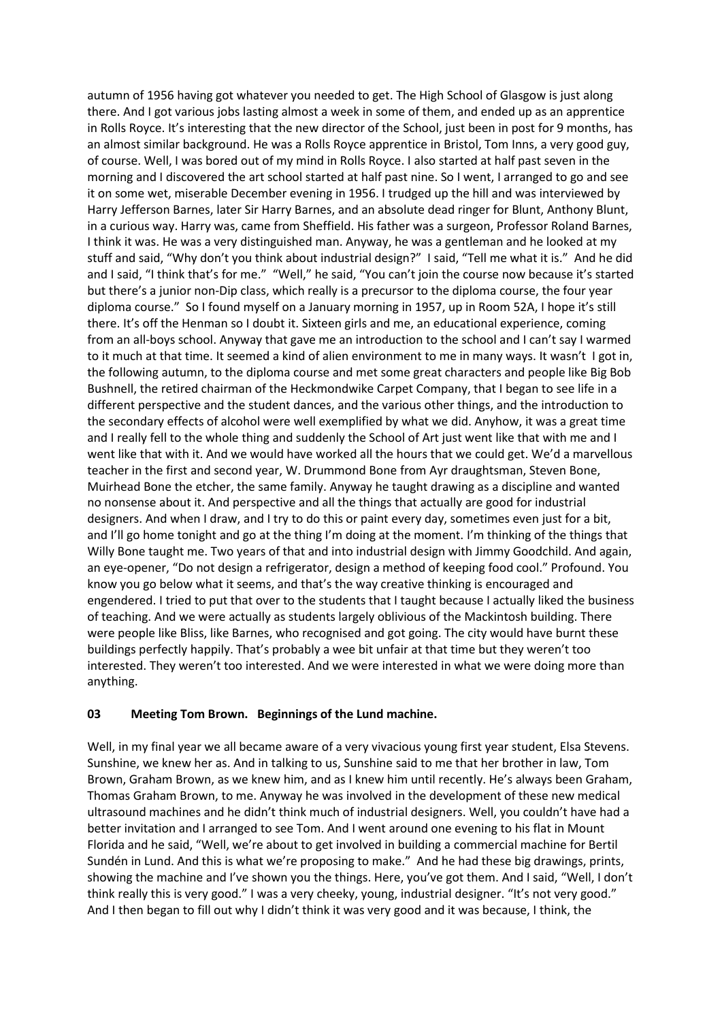autumn of 1956 having got whatever you needed to get. The High School of Glasgow is just along there. And I got various jobs lasting almost a week in some of them, and ended up as an apprentice in Rolls Royce. It's interesting that the new director of the School, just been in post for 9 months, has an almost similar background. He was a Rolls Royce apprentice in Bristol, Tom Inns, a very good guy, of course. Well, I was bored out of my mind in Rolls Royce. I also started at half past seven in the morning and I discovered the art school started at half past nine. So I went, I arranged to go and see it on some wet, miserable December evening in 1956. I trudged up the hill and was interviewed by Harry Jefferson Barnes, later Sir Harry Barnes, and an absolute dead ringer for Blunt, Anthony Blunt, in a curious way. Harry was, came from Sheffield. His father was a surgeon, Professor Roland Barnes, I think it was. He was a very distinguished man. Anyway, he was a gentleman and he looked at my stuff and said, "Why don't you think about industrial design?" I said, "Tell me what it is." And he did and I said, "I think that's for me." "Well," he said, "You can't join the course now because it's started but there's a junior non-Dip class, which really is a precursor to the diploma course, the four year diploma course." So I found myself on a January morning in 1957, up in Room 52A, I hope it's still there. It's off the Henman so I doubt it. Sixteen girls and me, an educational experience, coming from an all-boys school. Anyway that gave me an introduction to the school and I can't say I warmed to it much at that time. It seemed a kind of alien environment to me in many ways. It wasn't I got in, the following autumn, to the diploma course and met some great characters and people like Big Bob Bushnell, the retired chairman of the Heckmondwike Carpet Company, that I began to see life in a different perspective and the student dances, and the various other things, and the introduction to the secondary effects of alcohol were well exemplified by what we did. Anyhow, it was a great time and I really fell to the whole thing and suddenly the School of Art just went like that with me and I went like that with it. And we would have worked all the hours that we could get. We'd a marvellous teacher in the first and second year, W. Drummond Bone from Ayr draughtsman, Steven Bone, Muirhead Bone the etcher, the same family. Anyway he taught drawing as a discipline and wanted no nonsense about it. And perspective and all the things that actually are good for industrial designers. And when I draw, and I try to do this or paint every day, sometimes even just for a bit, and I'll go home tonight and go at the thing I'm doing at the moment. I'm thinking of the things that Willy Bone taught me. Two years of that and into industrial design with Jimmy Goodchild. And again, an eye-opener, "Do not design a refrigerator, design a method of keeping food cool." Profound. You know you go below what it seems, and that's the way creative thinking is encouraged and engendered. I tried to put that over to the students that I taught because I actually liked the business of teaching. And we were actually as students largely oblivious of the Mackintosh building. There were people like Bliss, like Barnes, who recognised and got going. The city would have burnt these buildings perfectly happily. That's probably a wee bit unfair at that time but they weren't too interested. They weren't too interested. And we were interested in what we were doing more than anything.

#### **03 Meeting Tom Brown. Beginnings of the Lund machine.**

Well, in my final year we all became aware of a very vivacious young first year student, Elsa Stevens. Sunshine, we knew her as. And in talking to us, Sunshine said to me that her brother in law, Tom Brown, Graham Brown, as we knew him, and as I knew him until recently. He's always been Graham, Thomas Graham Brown, to me. Anyway he was involved in the development of these new medical ultrasound machines and he didn't think much of industrial designers. Well, you couldn't have had a better invitation and I arranged to see Tom. And I went around one evening to his flat in Mount Florida and he said, "Well, we're about to get involved in building a commercial machine for Bertil Sundén in Lund. And this is what we're proposing to make." And he had these big drawings, prints, showing the machine and I've shown you the things. Here, you've got them. And I said, "Well, I don't think really this is very good." I was a very cheeky, young, industrial designer. "It's not very good." And I then began to fill out why I didn't think it was very good and it was because, I think, the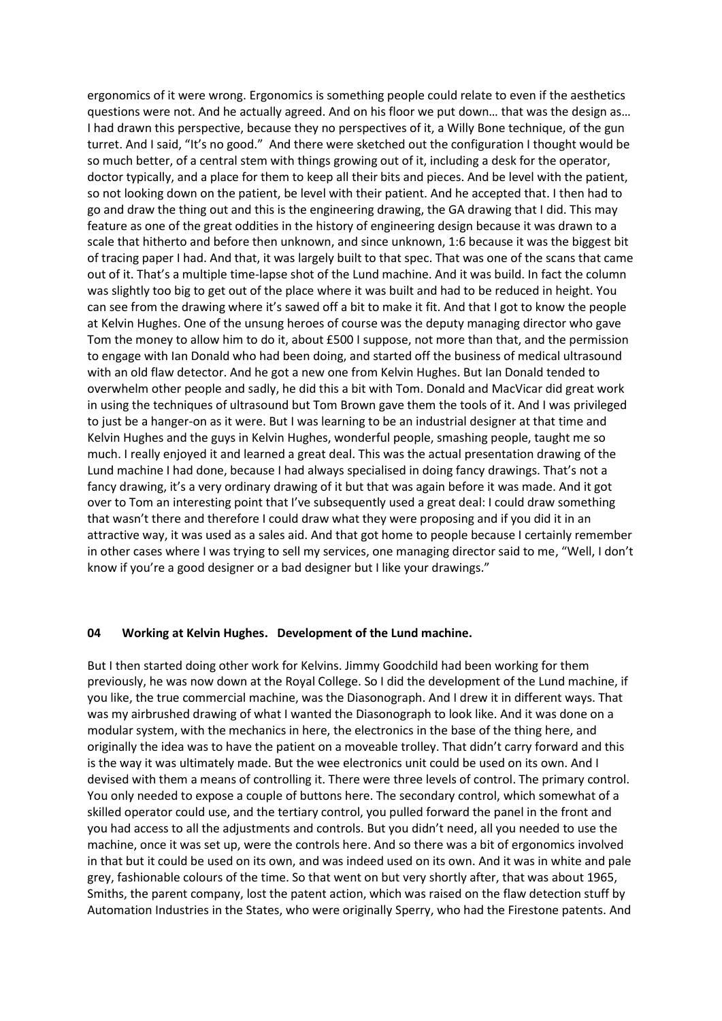ergonomics of it were wrong. Ergonomics is something people could relate to even if the aesthetics questions were not. And he actually agreed. And on his floor we put down… that was the design as… I had drawn this perspective, because they no perspectives of it, a Willy Bone technique, of the gun turret. And I said, "It's no good." And there were sketched out the configuration I thought would be so much better, of a central stem with things growing out of it, including a desk for the operator, doctor typically, and a place for them to keep all their bits and pieces. And be level with the patient, so not looking down on the patient, be level with their patient. And he accepted that. I then had to go and draw the thing out and this is the engineering drawing, the GA drawing that I did. This may feature as one of the great oddities in the history of engineering design because it was drawn to a scale that hitherto and before then unknown, and since unknown, 1:6 because it was the biggest bit of tracing paper I had. And that, it was largely built to that spec. That was one of the scans that came out of it. That's a multiple time-lapse shot of the Lund machine. And it was build. In fact the column was slightly too big to get out of the place where it was built and had to be reduced in height. You can see from the drawing where it's sawed off a bit to make it fit. And that I got to know the people at Kelvin Hughes. One of the unsung heroes of course was the deputy managing director who gave Tom the money to allow him to do it, about £500 I suppose, not more than that, and the permission to engage with Ian Donald who had been doing, and started off the business of medical ultrasound with an old flaw detector. And he got a new one from Kelvin Hughes. But Ian Donald tended to overwhelm other people and sadly, he did this a bit with Tom. Donald and MacVicar did great work in using the techniques of ultrasound but Tom Brown gave them the tools of it. And I was privileged to just be a hanger-on as it were. But I was learning to be an industrial designer at that time and Kelvin Hughes and the guys in Kelvin Hughes, wonderful people, smashing people, taught me so much. I really enjoyed it and learned a great deal. This was the actual presentation drawing of the Lund machine I had done, because I had always specialised in doing fancy drawings. That's not a fancy drawing, it's a very ordinary drawing of it but that was again before it was made. And it got over to Tom an interesting point that I've subsequently used a great deal: I could draw something that wasn't there and therefore I could draw what they were proposing and if you did it in an attractive way, it was used as a sales aid. And that got home to people because I certainly remember in other cases where I was trying to sell my services, one managing director said to me, "Well, I don't know if you're a good designer or a bad designer but I like your drawings."

#### **04 Working at Kelvin Hughes. Development of the Lund machine.**

But I then started doing other work for Kelvins. Jimmy Goodchild had been working for them previously, he was now down at the Royal College. So I did the development of the Lund machine, if you like, the true commercial machine, was the Diasonograph. And I drew it in different ways. That was my airbrushed drawing of what I wanted the Diasonograph to look like. And it was done on a modular system, with the mechanics in here, the electronics in the base of the thing here, and originally the idea was to have the patient on a moveable trolley. That didn't carry forward and this is the way it was ultimately made. But the wee electronics unit could be used on its own. And I devised with them a means of controlling it. There were three levels of control. The primary control. You only needed to expose a couple of buttons here. The secondary control, which somewhat of a skilled operator could use, and the tertiary control, you pulled forward the panel in the front and you had access to all the adjustments and controls. But you didn't need, all you needed to use the machine, once it was set up, were the controls here. And so there was a bit of ergonomics involved in that but it could be used on its own, and was indeed used on its own. And it was in white and pale grey, fashionable colours of the time. So that went on but very shortly after, that was about 1965, Smiths, the parent company, lost the patent action, which was raised on the flaw detection stuff by Automation Industries in the States, who were originally Sperry, who had the Firestone patents. And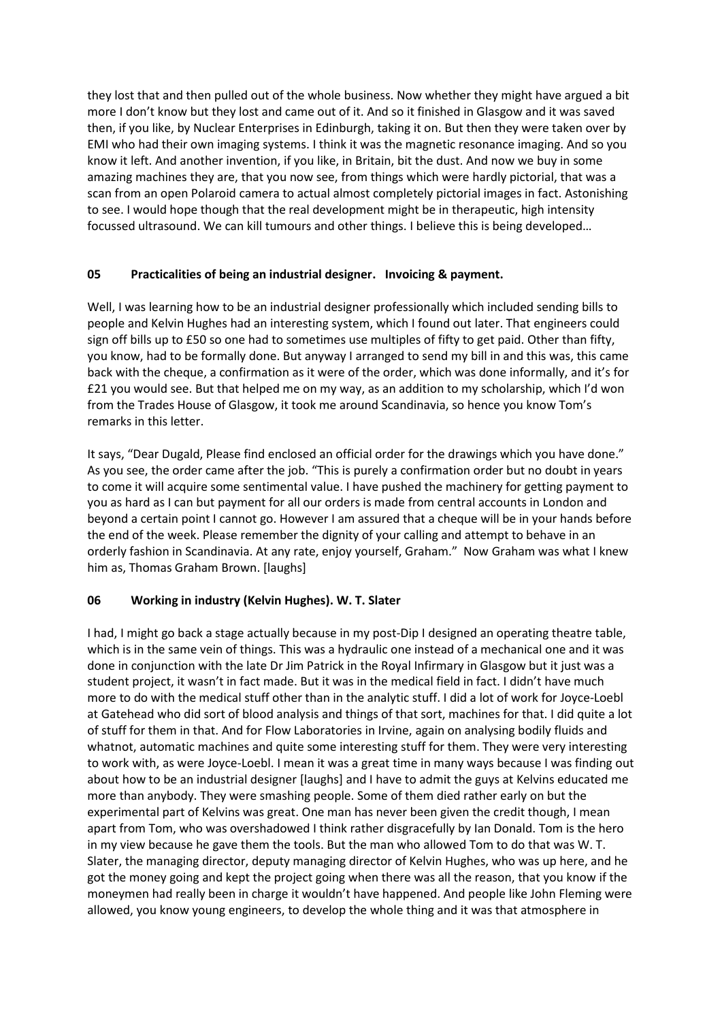they lost that and then pulled out of the whole business. Now whether they might have argued a bit more I don't know but they lost and came out of it. And so it finished in Glasgow and it was saved then, if you like, by Nuclear Enterprises in Edinburgh, taking it on. But then they were taken over by EMI who had their own imaging systems. I think it was the magnetic resonance imaging. And so you know it left. And another invention, if you like, in Britain, bit the dust. And now we buy in some amazing machines they are, that you now see, from things which were hardly pictorial, that was a scan from an open Polaroid camera to actual almost completely pictorial images in fact. Astonishing to see. I would hope though that the real development might be in therapeutic, high intensity focussed ultrasound. We can kill tumours and other things. I believe this is being developed…

#### **05 Practicalities of being an industrial designer. Invoicing & payment.**

Well, I was learning how to be an industrial designer professionally which included sending bills to people and Kelvin Hughes had an interesting system, which I found out later. That engineers could sign off bills up to £50 so one had to sometimes use multiples of fifty to get paid. Other than fifty, you know, had to be formally done. But anyway I arranged to send my bill in and this was, this came back with the cheque, a confirmation as it were of the order, which was done informally, and it's for £21 you would see. But that helped me on my way, as an addition to my scholarship, which I'd won from the Trades House of Glasgow, it took me around Scandinavia, so hence you know Tom's remarks in this letter.

It says, "Dear Dugald, Please find enclosed an official order for the drawings which you have done." As you see, the order came after the job. "This is purely a confirmation order but no doubt in years to come it will acquire some sentimental value. I have pushed the machinery for getting payment to you as hard as I can but payment for all our orders is made from central accounts in London and beyond a certain point I cannot go. However I am assured that a cheque will be in your hands before the end of the week. Please remember the dignity of your calling and attempt to behave in an orderly fashion in Scandinavia. At any rate, enjoy yourself, Graham." Now Graham was what I knew him as, Thomas Graham Brown. [laughs]

## **06 Working in industry (Kelvin Hughes). W. T. Slater**

I had, I might go back a stage actually because in my post-Dip I designed an operating theatre table, which is in the same vein of things. This was a hydraulic one instead of a mechanical one and it was done in conjunction with the late Dr Jim Patrick in the Royal Infirmary in Glasgow but it just was a student project, it wasn't in fact made. But it was in the medical field in fact. I didn't have much more to do with the medical stuff other than in the analytic stuff. I did a lot of work for Joyce-Loebl at Gatehead who did sort of blood analysis and things of that sort, machines for that. I did quite a lot of stuff for them in that. And for Flow Laboratories in Irvine, again on analysing bodily fluids and whatnot, automatic machines and quite some interesting stuff for them. They were very interesting to work with, as were Joyce-Loebl. I mean it was a great time in many ways because I was finding out about how to be an industrial designer [laughs] and I have to admit the guys at Kelvins educated me more than anybody. They were smashing people. Some of them died rather early on but the experimental part of Kelvins was great. One man has never been given the credit though, I mean apart from Tom, who was overshadowed I think rather disgracefully by Ian Donald. Tom is the hero in my view because he gave them the tools. But the man who allowed Tom to do that was W. T. Slater, the managing director, deputy managing director of Kelvin Hughes, who was up here, and he got the money going and kept the project going when there was all the reason, that you know if the moneymen had really been in charge it wouldn't have happened. And people like John Fleming were allowed, you know young engineers, to develop the whole thing and it was that atmosphere in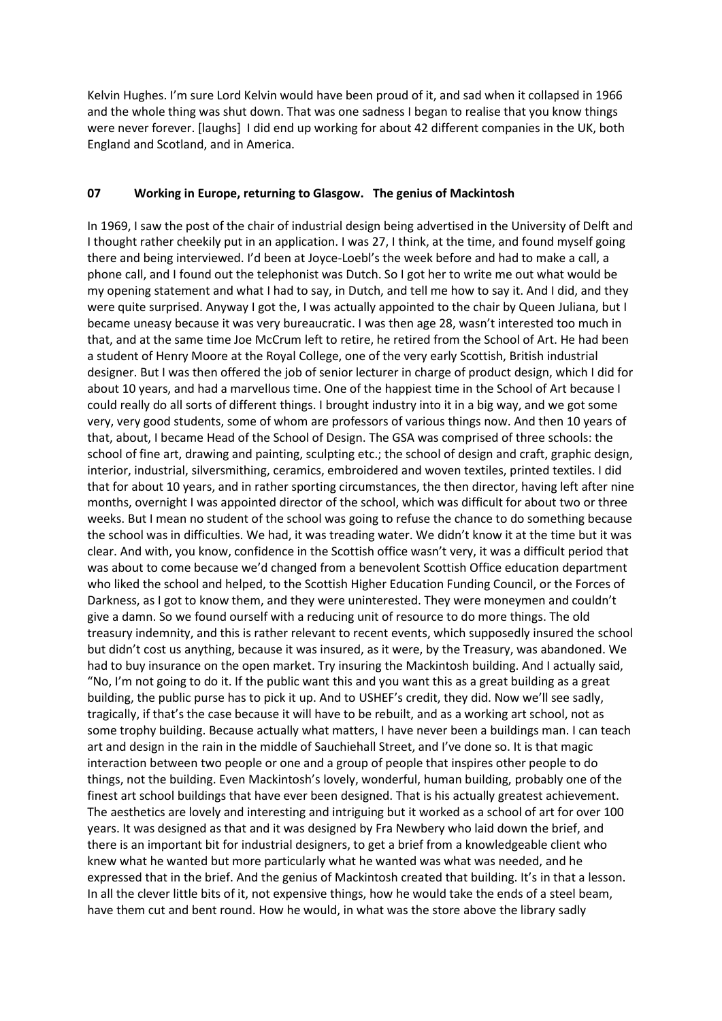Kelvin Hughes. I'm sure Lord Kelvin would have been proud of it, and sad when it collapsed in 1966 and the whole thing was shut down. That was one sadness I began to realise that you know things were never forever. [laughs] I did end up working for about 42 different companies in the UK, both England and Scotland, and in America.

#### **07 Working in Europe, returning to Glasgow. The genius of Mackintosh**

In 1969, I saw the post of the chair of industrial design being advertised in the University of Delft and I thought rather cheekily put in an application. I was 27, I think, at the time, and found myself going there and being interviewed. I'd been at Joyce-Loebl's the week before and had to make a call, a phone call, and I found out the telephonist was Dutch. So I got her to write me out what would be my opening statement and what I had to say, in Dutch, and tell me how to say it. And I did, and they were quite surprised. Anyway I got the, I was actually appointed to the chair by Queen Juliana, but I became uneasy because it was very bureaucratic. I was then age 28, wasn't interested too much in that, and at the same time Joe McCrum left to retire, he retired from the School of Art. He had been a student of Henry Moore at the Royal College, one of the very early Scottish, British industrial designer. But I was then offered the job of senior lecturer in charge of product design, which I did for about 10 years, and had a marvellous time. One of the happiest time in the School of Art because I could really do all sorts of different things. I brought industry into it in a big way, and we got some very, very good students, some of whom are professors of various things now. And then 10 years of that, about, I became Head of the School of Design. The GSA was comprised of three schools: the school of fine art, drawing and painting, sculpting etc.; the school of design and craft, graphic design, interior, industrial, silversmithing, ceramics, embroidered and woven textiles, printed textiles. I did that for about 10 years, and in rather sporting circumstances, the then director, having left after nine months, overnight I was appointed director of the school, which was difficult for about two or three weeks. But I mean no student of the school was going to refuse the chance to do something because the school was in difficulties. We had, it was treading water. We didn't know it at the time but it was clear. And with, you know, confidence in the Scottish office wasn't very, it was a difficult period that was about to come because we'd changed from a benevolent Scottish Office education department who liked the school and helped, to the Scottish Higher Education Funding Council, or the Forces of Darkness, as I got to know them, and they were uninterested. They were moneymen and couldn't give a damn. So we found ourself with a reducing unit of resource to do more things. The old treasury indemnity, and this is rather relevant to recent events, which supposedly insured the school but didn't cost us anything, because it was insured, as it were, by the Treasury, was abandoned. We had to buy insurance on the open market. Try insuring the Mackintosh building. And I actually said, "No, I'm not going to do it. If the public want this and you want this as a great building as a great building, the public purse has to pick it up. And to USHEF's credit, they did. Now we'll see sadly, tragically, if that's the case because it will have to be rebuilt, and as a working art school, not as some trophy building. Because actually what matters, I have never been a buildings man. I can teach art and design in the rain in the middle of Sauchiehall Street, and I've done so. It is that magic interaction between two people or one and a group of people that inspires other people to do things, not the building. Even Mackintosh's lovely, wonderful, human building, probably one of the finest art school buildings that have ever been designed. That is his actually greatest achievement. The aesthetics are lovely and interesting and intriguing but it worked as a school of art for over 100 years. It was designed as that and it was designed by Fra Newbery who laid down the brief, and there is an important bit for industrial designers, to get a brief from a knowledgeable client who knew what he wanted but more particularly what he wanted was what was needed, and he expressed that in the brief. And the genius of Mackintosh created that building. It's in that a lesson. In all the clever little bits of it, not expensive things, how he would take the ends of a steel beam, have them cut and bent round. How he would, in what was the store above the library sadly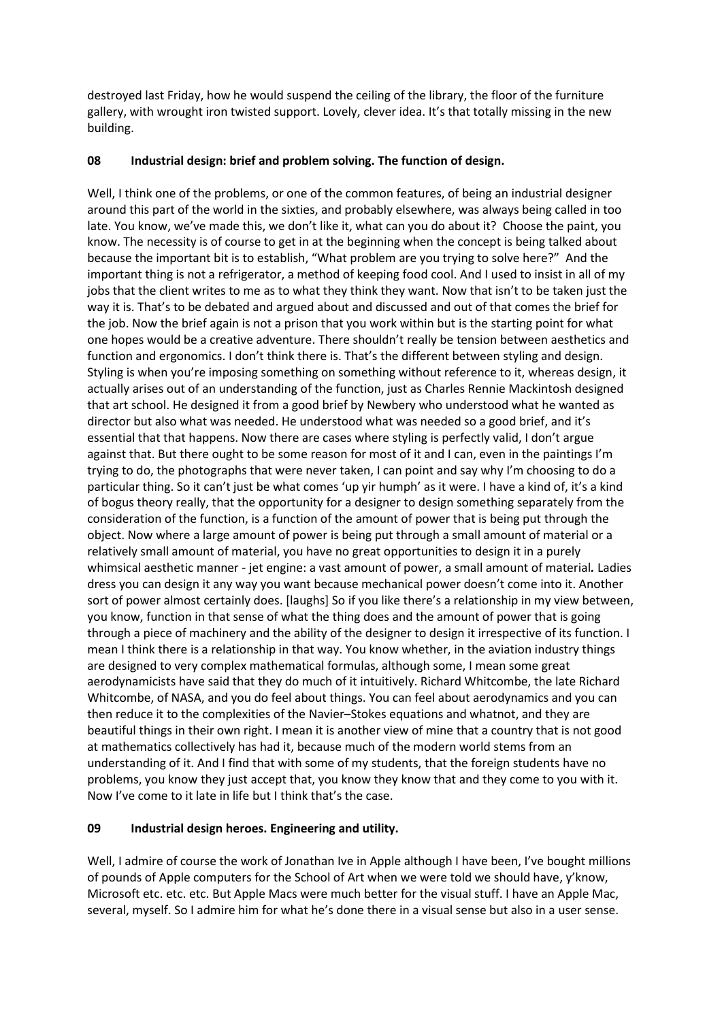destroyed last Friday, how he would suspend the ceiling of the library, the floor of the furniture gallery, with wrought iron twisted support. Lovely, clever idea. It's that totally missing in the new building.

#### **08 Industrial design: brief and problem solving. The function of design.**

Well, I think one of the problems, or one of the common features, of being an industrial designer around this part of the world in the sixties, and probably elsewhere, was always being called in too late. You know, we've made this, we don't like it, what can you do about it? Choose the paint, you know. The necessity is of course to get in at the beginning when the concept is being talked about because the important bit is to establish, "What problem are you trying to solve here?" And the important thing is not a refrigerator, a method of keeping food cool. And I used to insist in all of my jobs that the client writes to me as to what they think they want. Now that isn't to be taken just the way it is. That's to be debated and argued about and discussed and out of that comes the brief for the job. Now the brief again is not a prison that you work within but is the starting point for what one hopes would be a creative adventure. There shouldn't really be tension between aesthetics and function and ergonomics. I don't think there is. That's the different between styling and design. Styling is when you're imposing something on something without reference to it, whereas design, it actually arises out of an understanding of the function, just as Charles Rennie Mackintosh designed that art school. He designed it from a good brief by Newbery who understood what he wanted as director but also what was needed. He understood what was needed so a good brief, and it's essential that that happens. Now there are cases where styling is perfectly valid, I don't argue against that. But there ought to be some reason for most of it and I can, even in the paintings I'm trying to do, the photographs that were never taken, I can point and say why I'm choosing to do a particular thing. So it can't just be what comes 'up yir humph' as it were. I have a kind of, it's a kind of bogus theory really, that the opportunity for a designer to design something separately from the consideration of the function, is a function of the amount of power that is being put through the object. Now where a large amount of power is being put through a small amount of material or a relatively small amount of material, you have no great opportunities to design it in a purely whimsical aesthetic manner - jet engine: a vast amount of power, a small amount of material*.* Ladies dress you can design it any way you want because mechanical power doesn't come into it. Another sort of power almost certainly does. [laughs] So if you like there's a relationship in my view between, you know, function in that sense of what the thing does and the amount of power that is going through a piece of machinery and the ability of the designer to design it irrespective of its function. I mean I think there is a relationship in that way. You know whether, in the aviation industry things are designed to very complex mathematical formulas, although some, I mean some great aerodynamicists have said that they do much of it intuitively. Richard Whitcombe, the late Richard Whitcombe, of NASA, and you do feel about things. You can feel about aerodynamics and you can then reduce it to the complexities of the Navier–Stokes equations and whatnot, and they are beautiful things in their own right. I mean it is another view of mine that a country that is not good at mathematics collectively has had it, because much of the modern world stems from an understanding of it. And I find that with some of my students, that the foreign students have no problems, you know they just accept that, you know they know that and they come to you with it. Now I've come to it late in life but I think that's the case.

## **09 Industrial design heroes. Engineering and utility.**

Well, I admire of course the work of Jonathan Ive in Apple although I have been, I've bought millions of pounds of Apple computers for the School of Art when we were told we should have, y'know, Microsoft etc. etc. etc. But Apple Macs were much better for the visual stuff. I have an Apple Mac, several, myself. So I admire him for what he's done there in a visual sense but also in a user sense.